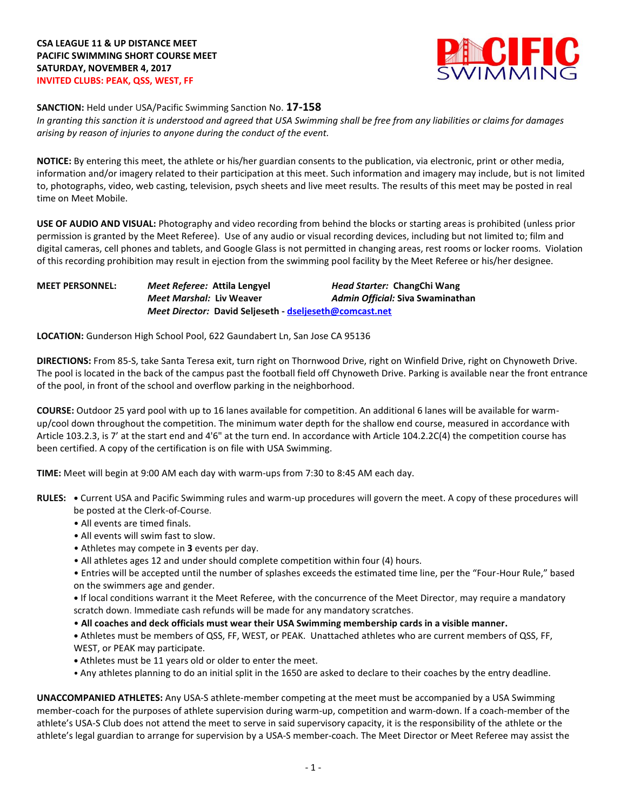

**SANCTION:** Held under USA/Pacific Swimming Sanction No. **17-158**

*In granting this sanction it is understood and agreed that USA Swimming shall be free from any liabilities or claims for damages arising by reason of injuries to anyone during the conduct of the event.*

**NOTICE:** By entering this meet, the athlete or his/her guardian consents to the publication, via electronic, print or other media, information and/or imagery related to their participation at this meet. Such information and imagery may include, but is not limited to, photographs, video, web casting, television, psych sheets and live meet results. The results of this meet may be posted in real time on Meet Mobile.

**USE OF AUDIO AND VISUAL:** Photography and video recording from behind the blocks or starting areas is prohibited (unless prior permission is granted by the Meet Referee). Use of any audio or visual recording devices, including but not limited to; film and digital cameras, cell phones and tablets, and Google Glass is not permitted in changing areas, rest rooms or locker rooms. Violation of this recording prohibition may result in ejection from the swimming pool facility by the Meet Referee or his/her designee.

**MEET PERSONNEL:** *Meet Referee:* **Attila Lengyel** *Head Starter:* **ChangChi Wang** *Meet Marshal:* **Liv Weaver** *Admin Official:* **Siva Swaminathan** *Meet Director:* **David Seljeseth - [dseljeseth@comcast.net](mailto:dseljeseth@comcast.net)**

**LOCATION:** Gunderson High School Pool, 622 Gaundabert Ln, San Jose CA 95136

**DIRECTIONS:** From 85-S, take Santa Teresa exit, turn right on Thornwood Drive, right on Winfield Drive, right on Chynoweth Drive. The pool is located in the back of the campus past the football field off Chynoweth Drive. Parking is available near the front entrance of the pool, in front of the school and overflow parking in the neighborhood.

**COURSE:** Outdoor 25 yard pool with up to 16 lanes available for competition. An additional 6 lanes will be available for warmup/cool down throughout the competition. The minimum water depth for the shallow end course, measured in accordance with Article 103.2.3, is 7' at the start end and 4'6" at the turn end. In accordance with Article 104.2.2C(4) the competition course has been certified. A copy of the certification is on file with USA Swimming.

**TIME:** Meet will begin at 9:00 AM each day with warm-ups from 7:30 to 8:45 AM each day.

- **RULES: •** Current USA and Pacific Swimming rules and warm-up procedures will govern the meet. A copy of these procedures will be posted at the Clerk-of-Course.
	- All events are timed finals.
	- All events will swim fast to slow.
	- Athletes may compete in **3** events per day.
	- All athletes ages 12 and under should complete competition within four (4) hours.

• Entries will be accepted until the number of splashes exceeds the estimated time line, per the "Four-Hour Rule," based on the swimmers age and gender.

**•** If local conditions warrant it the Meet Referee, with the concurrence of the Meet Director, may require a mandatory scratch down. Immediate cash refunds will be made for any mandatory scratches.

• **All coaches and deck officials must wear their USA Swimming membership cards in a visible manner.** 

**•** Athletes must be members of QSS, FF, WEST, or PEAK. Unattached athletes who are current members of QSS, FF, WEST, or PEAK may participate.

- **•** Athletes must be 11 years old or older to enter the meet.
- Any athletes planning to do an initial split in the 1650 are asked to declare to their coaches by the entry deadline.

**UNACCOMPANIED ATHLETES:** Any USA-S athlete-member competing at the meet must be accompanied by a USA Swimming member-coach for the purposes of athlete supervision during warm-up, competition and warm-down. If a coach-member of the athlete's USA-S Club does not attend the meet to serve in said supervisory capacity, it is the responsibility of the athlete or the athlete's legal guardian to arrange for supervision by a USA-S member-coach. The Meet Director or Meet Referee may assist the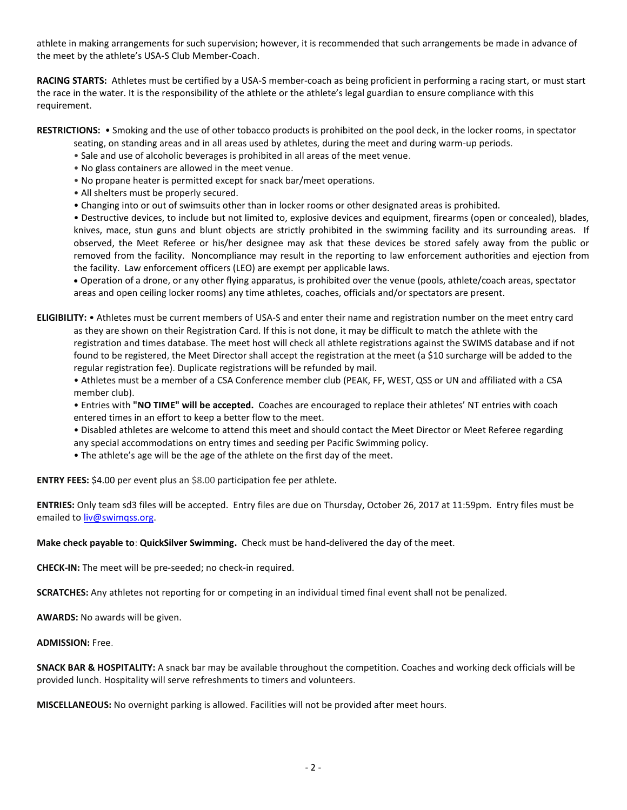athlete in making arrangements for such supervision; however, it is recommended that such arrangements be made in advance of the meet by the athlete's USA-S Club Member-Coach.

**RACING STARTS:** Athletes must be certified by a USA-S member-coach as being proficient in performing a racing start, or must start the race in the water. It is the responsibility of the athlete or the athlete's legal guardian to ensure compliance with this requirement.

**RESTRICTIONS:** • Smoking and the use of other tobacco products is prohibited on the pool deck, in the locker rooms, in spectator

seating, on standing areas and in all areas used by athletes, during the meet and during warm-up periods.

- Sale and use of alcoholic beverages is prohibited in all areas of the meet venue.
- No glass containers are allowed in the meet venue.
- No propane heater is permitted except for snack bar/meet operations.
- All shelters must be properly secured.
- Changing into or out of swimsuits other than in locker rooms or other designated areas is prohibited.

• Destructive devices, to include but not limited to, explosive devices and equipment, firearms (open or concealed), blades, knives, mace, stun guns and blunt objects are strictly prohibited in the swimming facility and its surrounding areas. If observed, the Meet Referee or his/her designee may ask that these devices be stored safely away from the public or removed from the facility. Noncompliance may result in the reporting to law enforcement authorities and ejection from the facility. Law enforcement officers (LEO) are exempt per applicable laws.

 Operation of a drone, or any other flying apparatus, is prohibited over the venue (pools, athlete/coach areas, spectator areas and open ceiling locker rooms) any time athletes, coaches, officials and/or spectators are present.

**ELIGIBILITY:** • Athletes must be current members of USA-S and enter their name and registration number on the meet entry card as they are shown on their Registration Card. If this is not done, it may be difficult to match the athlete with the registration and times database. The meet host will check all athlete registrations against the SWIMS database and if not found to be registered, the Meet Director shall accept the registration at the meet (a \$10 surcharge will be added to the regular registration fee). Duplicate registrations will be refunded by mail.

• Athletes must be a member of a CSA Conference member club (PEAK, FF, WEST, QSS or UN and affiliated with a CSA member club).

• Entries with **"NO TIME" will be accepted.** Coaches are encouraged to replace their athletes' NT entries with coach entered times in an effort to keep a better flow to the meet.

- Disabled athletes are welcome to attend this meet and should contact the Meet Director or Meet Referee regarding any special accommodations on entry times and seeding per Pacific Swimming policy.
- The athlete's age will be the age of the athlete on the first day of the meet.

**ENTRY FEES:** \$4.00 per event plus an \$8.00 participation fee per athlete.

**ENTRIES:** Only team sd3 files will be accepted. Entry files are due on Thursday, October 26, 2017 at 11:59pm. Entry files must be emailed t[o liv@swimqss.org.](mailto:liv@swimqss.org)

**Make check payable to**: **QuickSilver Swimming.** Check must be hand-delivered the day of the meet.

**CHECK-IN:** The meet will be pre-seeded; no check-in required.

**SCRATCHES:** Any athletes not reporting for or competing in an individual timed final event shall not be penalized.

**AWARDS:** No awards will be given.

**ADMISSION:** Free.

**SNACK BAR & HOSPITALITY:** A snack bar may be available throughout the competition. Coaches and working deck officials will be provided lunch. Hospitality will serve refreshments to timers and volunteers.

**MISCELLANEOUS:** No overnight parking is allowed. Facilities will not be provided after meet hours.